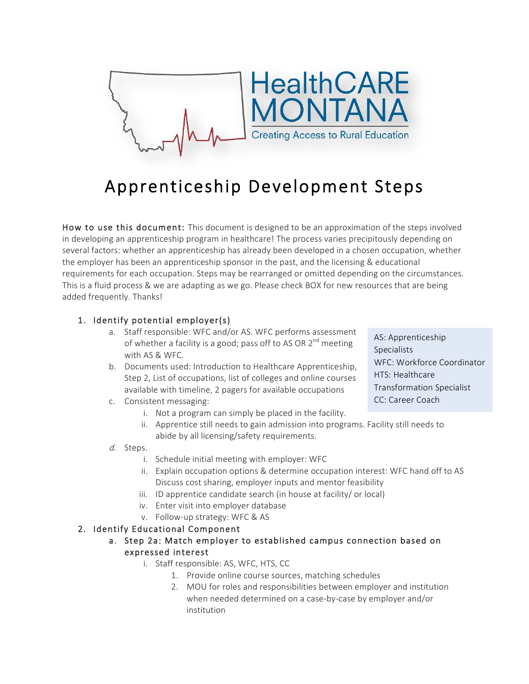

# Apprenticeship Development Steps

How to use this document: This document is designed to be an approximation of the steps involved in developing an apprenticeship program in healthcare! The process varies precipitously depending on several factors: whether an apprenticeship has already been developed in a chosen occupation, whether the employer has been an apprenticeship sponsor in the past, and the licensing & educational requirements for each occupation. Steps may be rearranged or omitted depending on the circumstances. This is a fluid process & we are adapting as we go. Please check BOX for new resources that are being added frequently. Thanks!

#### 1. Identify potential employer(s)

- a. Staff responsible: WFC and/or AS. WFC performs assessment of whether a facility is a good; pass off to AS OR  $2^{nd}$  meeting with AS & WFC.
- b. Documents used: Introduction to Healthcare Apprenticeship, Step 2, List of occupations, list of colleges and online courses available with timeline, 2 pagers for available occupations
- c. Consistent messaging:
	- i. Not a program can simply be placed in the facility.
	- ii. Apprentice still needs to gain admission into programs. Facility still needs to abide by all licensing/safety requirements.
- d. Steps.
	- i. Schedule initial meeting with employer: WFC
	- ii. Explain occupation options & determine occupation interest: WFC hand off to AS Discuss cost sharing, employer inputs and mentor feasibility
	- iii. ID apprentice candidate search (in house at facility/ or local)
	- iv. Enter visit into employer database
	- v. Follow-up strategy: WFC & AS

#### 2. Identify Educational Component

#### a. Step 2a: Match employer to established campus connection based on expressed interest

- i. Staff responsible: AS, WFC, HTS, CC
	- 1. Provide online course sources, matching schedules
	- 2. MOU for roles and responsibilities between employer and institution when needed determined on a case-by-case by employer and/or institution

AS: Apprenticeship Specialists WFC: Workforce Coordinator HTS: Healthcare Transformation Specialist CC: Career Coach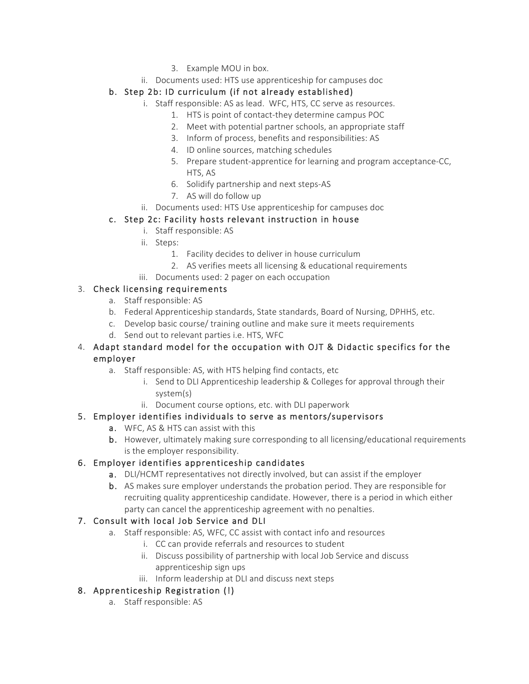- 3. Example MOU in box.
- ii. Documents used: HTS use apprenticeship for campuses doc

# b. Step 2b: ID curriculum (if not already established)

- i. Staff responsible: AS as lead. WFC, HTS, CC serve as resources.
	- 1. HTS is point of contact-they determine campus POC
	- 2. Meet with potential partner schools, an appropriate staff
	- 3. Inform of process, benefits and responsibilities: AS
	- 4. ID online sources, matching schedules
	- 5. Prepare student-apprentice for learning and program acceptance-CC, HTS, AS
	- 6. Solidify partnership and next steps-AS
	- 7. AS will do follow up
- ii. Documents used: HTS Use apprenticeship for campuses doc

## c. Step 2c: Facility hosts relevant instruction in house

- i. Staff responsible: AS
- ii. Steps:
	- 1. Facility decides to deliver in house curriculum
	- 2. AS verifies meets all licensing & educational requirements
- iii. Documents used: 2 pager on each occupation

## 3. Check licensing requirements

- a. Staff responsible: AS
- b. Federal Apprenticeship standards, State standards, Board of Nursing, DPHHS, etc.
- c. Develop basic course/ training outline and make sure it meets requirements
- d. Send out to relevant parties i.e. HTS, WFC

#### 4. Adapt standard model for the occupation with OJT & Didactic specifics for the employer

- a. Staff responsible: AS, with HTS helping find contacts, etc
	- i. Send to DLI Apprenticeship leadership & Colleges for approval through their system(s)
	- ii. Document course options, etc. with DLI paperwork

## 5. Employer identifies individuals to serve as mentors/supervisors

- a. WFC, AS & HTS can assist with this
- b. However, ultimately making sure corresponding to all licensing/educational requirements is the employer responsibility.

## 6. Employer identifies apprenticeship candidates

- a. DLI/HCMT representatives not directly involved, but can assist if the employer
- b. AS makes sure employer understands the probation period. They are responsible for recruiting quality apprenticeship candidate. However, there is a period in which either party can cancel the apprenticeship agreement with no penalties.

## 7. Consult with local Job Service and DLI

- a. Staff responsible: AS, WFC, CC assist with contact info and resources
	- i. CC can provide referrals and resources to student
	- ii. Discuss possibility of partnership with local Job Service and discuss apprenticeship sign ups
	- iii. Inform leadership at DLI and discuss next steps

## 8. Apprenticeship Registration (!)

a. Staff responsible: AS